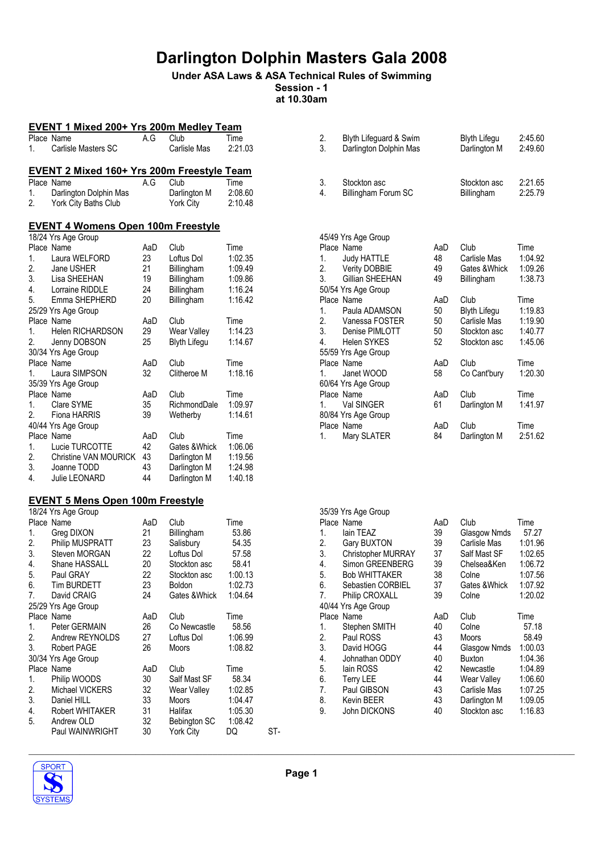### Under ASA Laws & ASA Technical Rules of Swimming Session - 1

at 10.30am

|          | <b>EVENT 1 Mixed 200+ Yrs 200m Medley Team</b>                 |           |                     |                    |  |  |  |  |  |
|----------|----------------------------------------------------------------|-----------|---------------------|--------------------|--|--|--|--|--|
|          | Place Name                                                     | A.G       | Club                | Time               |  |  |  |  |  |
| 1.       | Carlisle Masters SC                                            |           | Carlisle Mas        | 2:21.03            |  |  |  |  |  |
|          |                                                                |           |                     |                    |  |  |  |  |  |
|          | <b>EVENT 2 Mixed 160+ Yrs 200m Freestyle Team</b>              |           |                     |                    |  |  |  |  |  |
|          | Place Name                                                     | A.G       | Club                | Time               |  |  |  |  |  |
| 1.       | Darlington Dolphin Mas                                         |           | Darlington M        | 2:08.60            |  |  |  |  |  |
| 2.       | York City Baths Club                                           |           | York City           | 2:10.48            |  |  |  |  |  |
|          |                                                                |           |                     |                    |  |  |  |  |  |
|          | <b>EVENT 4 Womens Open 100m Freestyle</b>                      |           |                     |                    |  |  |  |  |  |
|          | 18/24 Yrs Age Group                                            |           |                     |                    |  |  |  |  |  |
|          | Place Name                                                     | AaD       | Club                | Time               |  |  |  |  |  |
| 1.       | Laura WELFORD                                                  | 23        | Loftus Dol          | 1:02.35            |  |  |  |  |  |
| 2.       | Jane USHER                                                     | 21        | Billingham          | 1:09.49            |  |  |  |  |  |
| 3.       | Lisa SHEEHAN                                                   | 19        | Billingham          | 1:09.86            |  |  |  |  |  |
| 4.       | Lorraine RIDDLE                                                | 24        | Billingham          | 1:16.24            |  |  |  |  |  |
| 5.       | Emma SHEPHERD                                                  | 20        | Billingham          | 1:16.42            |  |  |  |  |  |
|          | 25/29 Yrs Age Group                                            |           |                     |                    |  |  |  |  |  |
|          | Place Name                                                     | AaD       | Club                | Time               |  |  |  |  |  |
| 1.       | Helen RICHARDSON                                               | 29        | <b>Wear Valley</b>  | 1:14.23            |  |  |  |  |  |
| 2.       | Jenny DOBSON                                                   | 25        | <b>Blyth Lifegu</b> | 1:14.67            |  |  |  |  |  |
|          | 30/34 Yrs Age Group                                            |           |                     |                    |  |  |  |  |  |
|          | Place Name                                                     | AaD       | Club                | Time               |  |  |  |  |  |
| 1.       | Laura SIMPSON                                                  | 32        | Clitheroe M         | 1:18.16            |  |  |  |  |  |
|          | 35/39 Yrs Age Group                                            |           |                     |                    |  |  |  |  |  |
|          | Place Name                                                     | AaD       | Club                | Time               |  |  |  |  |  |
| 1.       | Clare SYME                                                     | 35        | RichmondDale        | 1:09.97            |  |  |  |  |  |
| 2.       | Fiona HARRIS                                                   | 39        | Wetherby            | 1:14.61            |  |  |  |  |  |
|          | 40/44 Yrs Age Group                                            |           |                     |                    |  |  |  |  |  |
| 1.       | Place Name                                                     | AaD<br>42 | Club                | Time               |  |  |  |  |  |
|          | Lucie TURCOTTE                                                 | 43        | Gates & Whick       | 1:06.06            |  |  |  |  |  |
| 2.<br>3. | Christine VAN MOURICK<br>Joanne TODD                           | 43        | Darlington M        | 1:19.56<br>1:24.98 |  |  |  |  |  |
| 4.       | Julie LEONARD                                                  | 44        | Darlington M        |                    |  |  |  |  |  |
|          |                                                                |           | Darlington M        | 1:40.18            |  |  |  |  |  |
|          |                                                                |           |                     |                    |  |  |  |  |  |
|          | <b>EVENT 5 Mens Open 100m Freestyle</b><br>18/24 Yrs Age Group |           |                     |                    |  |  |  |  |  |
|          | Place Name                                                     | AaD       | Club                | Time               |  |  |  |  |  |
| 1.       | Greg DIXON                                                     | 21        | Billingham          | 53.86              |  |  |  |  |  |
| 2.       | Philip MUSPRATT                                                | 23        | Salisbury           | 54.35              |  |  |  |  |  |
| 3.       | Steven MORGAN                                                  | 22        | Loftus Dol          | 57.58              |  |  |  |  |  |
| 4.       | Shane HASSALL                                                  | 20        | Stockton asc        | 58.41              |  |  |  |  |  |
| 5.       | Paul GRAY                                                      | 22        | Stockton asc        | 1:00.13            |  |  |  |  |  |
| 6.       | Tim BURDETT                                                    | 23        | Boldon              | 1:02.73            |  |  |  |  |  |
| 7.       | David CRAIG                                                    | 24        | Gates & Whick       | 1:04.64            |  |  |  |  |  |
|          | 25/29 Yrs Age Group                                            |           |                     |                    |  |  |  |  |  |
|          | Place Name                                                     | AaD       | Club                | Time               |  |  |  |  |  |
| 1.       | Peter GERMAIN                                                  | 26        | Co Newcastle        | 58.56              |  |  |  |  |  |
| 2.       | Andrew REYNOLDS                                                | 27        | Loftus Dol          | 1:06.99            |  |  |  |  |  |
| 3.       | Robert PAGE                                                    | 26        | Moors               | 1:08.82            |  |  |  |  |  |
|          | 30/34 Yrs Age Group                                            |           |                     |                    |  |  |  |  |  |
|          | Place Name                                                     | AaD       | Club                | Time               |  |  |  |  |  |
| 1.       | Philip WOODS                                                   | 30        | Salf Mast SF        | 58.34              |  |  |  |  |  |
| 2.       | Michael VICKERS                                                | 32        | Wear Valley         | 1:02.85            |  |  |  |  |  |
| 3.       | Daniel HILL                                                    | 33        | Moors               | 1:04.47            |  |  |  |  |  |
| 4.       | Robert WHITAKER                                                | 31        | Halifax             | 1:05.30            |  |  |  |  |  |
| 5.       | Andrew OLD                                                     | 32        | Bebington SC        | 1:08.42            |  |  |  |  |  |
|          | Paul WAINWRIGHT                                                | 30        | York City           | DQ<br>ST-          |  |  |  |  |  |

| 2.<br>3.       | Blyth Lifeguard & Swim<br>Darlington Dolphin Mas |           | <b>Blyth Lifegu</b><br>Darlington M | 2:45.60<br>2:49.60 |
|----------------|--------------------------------------------------|-----------|-------------------------------------|--------------------|
| 3.<br>4.       | Stockton asc<br>Billingham Forum SC              |           | Stockton asc<br>Billingham          | 2:21.65<br>2:25.79 |
|                | 45/49 Yrs Age Group<br>Place Name                | AaD       | Club                                | Time               |
| 1.             | Judy HATTLE                                      | 48        | Carlisle Mas                        | 1:04.92            |
| 2.             | <b>Verity DOBBIE</b>                             | 49        | Gates & Whick                       | 1:09.26            |
| 3.             | Gillian SHEEHAN                                  | 49        | Billingham                          | 1:38.73            |
|                | 50/54 Yrs Age Group                              |           |                                     |                    |
|                | Place Name                                       | AaD       | Club                                | Time               |
| 1.             | Paula ADAMSON                                    | 50        | Blyth Lifegu                        | 1:19.83            |
| 2.             | Vanessa FOSTER                                   | 50        | Carlisle Mas                        | 1:19.90            |
| 3.             | Denise PIMLOTT                                   | 50        | Stockton asc                        | 1:40.77            |
| $\overline{4}$ | <b>Helen SYKES</b>                               | 52        | Stockton asc                        | 1:45.06            |
|                | 55/59 Yrs Age Group                              |           |                                     |                    |
| 1.             | Place Name<br>Janet WOOD                         | AaD<br>58 | Club<br>Co Cant'bury                | Time<br>1:20.30    |
|                | 60/64 Yrs Age Group                              |           |                                     |                    |
|                | Place Name                                       | AaD       | Club                                | Time               |
| 1.             | Val SINGER                                       | 61        | Darlington M                        | 1:41.97            |
|                | 80/84 Yrs Age Group                              |           |                                     |                    |
|                | Place Name                                       | AaD       | Club                                | Time               |
| 1.             | Mary SLATER                                      | 84        | Darlington M                        | 2:51.62            |
|                |                                                  |           |                                     |                    |

|    | 35/39 Yrs Age Group       |     |              |         |
|----|---------------------------|-----|--------------|---------|
|    | Place Name                | AaD | Club         | Time    |
| 1. | lain TEAZ                 | 39  | Glasgow Nmds | 57.27   |
| 2. | Gary BUXTON               | 39  | Carlisle Mas | 1:01.96 |
| 3. | <b>Christopher MURRAY</b> | 37  | Salf Mast SF | 1:02.65 |
| 4. | Simon GREENBERG           | 39  | Chelsea&Ken  | 1:06.72 |
| 5. | <b>Bob WHITTAKER</b>      | 38  | Colne        | 1:07.56 |
| 6. | Sebastien CORBIEL         | 37  | Gates &Whick | 1:07.92 |
| 7. | <b>Philip CROXALL</b>     | 39  | Colne        | 1:20.02 |
|    | 40/44 Yrs Age Group       |     |              |         |
|    | Place Name                | AaD | Club         | Time    |
| 1. | Stephen SMITH             | 40  | Colne        | 57.18   |
| 2. | Paul ROSS                 | 43  | <b>Moors</b> | 58.49   |
| 3. | David HOGG                | 44  | Glasgow Nmds | 1:00.03 |
| 4. | Johnathan ODDY            | 40  | Buxton       | 1:04.36 |
| 5. | lain ROSS                 | 42  | Newcastle    | 1:04.89 |
| 6. | <b>Terry LEE</b>          | 44  | Wear Valley  | 1:06.60 |
| 7. | Paul GIBSON               | 43  | Carlisle Mas | 1:07.25 |
| 8. | <b>Kevin BEER</b>         | 43  | Darlington M | 1:09.05 |
| 9. | John DICKONS              | 40  | Stockton asc | 1:16.83 |
|    |                           |     |              |         |

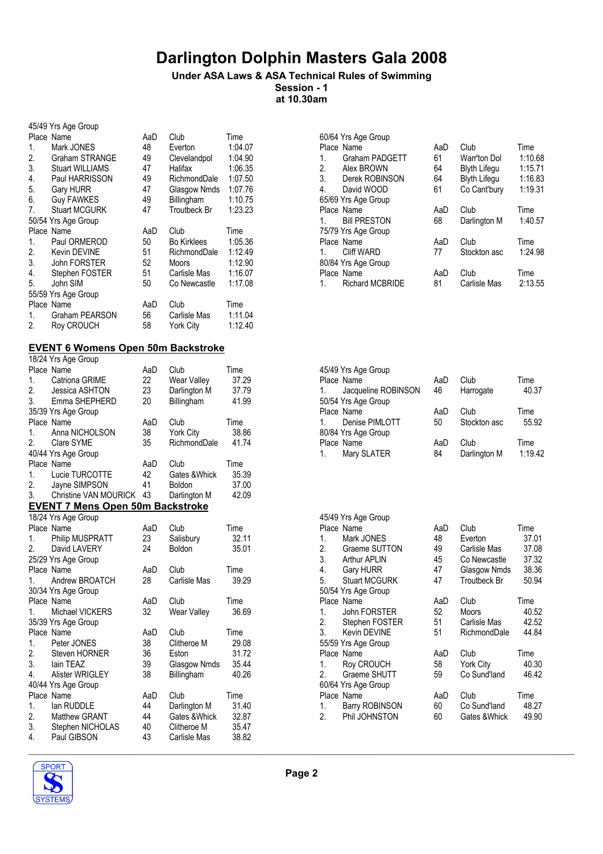#### Under ASA Laws & ASA Technical Rules of Swimming Session - 1 at 10.30am

| 45/49 Yrs Age Group |                        |     |                     |         |  |  |
|---------------------|------------------------|-----|---------------------|---------|--|--|
|                     | Place Name             | AaD | Club                | Time    |  |  |
| 1.                  | Mark JONES             | 48  | Everton             | 1:04.07 |  |  |
| 2.                  | <b>Graham STRANGE</b>  | 49  | Clevelandpol        | 1:04.90 |  |  |
| 3.                  | <b>Stuart WILLIAMS</b> | 47  | Halifax             | 1:06.35 |  |  |
| 4.                  | Paul HARRISSON         | 49  | RichmondDale        | 1:07.50 |  |  |
| 5.                  | <b>Gary HURR</b>       | 47  | Glasgow Nmds        | 1:07.76 |  |  |
| 6.                  | <b>Guy FAWKES</b>      | 49  | Billingham          | 1:10.75 |  |  |
| 7.                  | <b>Stuart MCGURK</b>   | 47  | <b>Troutbeck Br</b> | 1:23.23 |  |  |
|                     | 50/54 Yrs Age Group    |     |                     |         |  |  |
|                     |                        |     |                     |         |  |  |
|                     | Place Name             | AaD | Club                | Time    |  |  |
| 1.                  | Paul ORMEROD           | 50  | <b>Bo Kirklees</b>  | 1:05.36 |  |  |
| 2.                  | Kevin DEVINE           | 51  | RichmondDale        | 1:12.49 |  |  |
| 3.                  | <b>John FORSTER</b>    | 52  | Moors               | 1:12.90 |  |  |
| 4.                  | Stephen FOSTER         | 51  | Carlisle Mas        | 1:16.07 |  |  |
| 5.                  | John SIM               | 50  | Co Newcastle        | 1:17.08 |  |  |
|                     | 55/59 Yrs Age Group    |     |                     |         |  |  |
|                     | Place Name             | AaD | Club                | Time    |  |  |
| 1.                  | <b>Graham PEARSON</b>  | 56  | Carlisle Mas        | 1:11.04 |  |  |

### EVENT 6 Womens Open 50m Backstroke

| 18/24 Yrs Age Group                     |     |                  |       |                                                                 |
|-----------------------------------------|-----|------------------|-------|-----------------------------------------------------------------|
|                                         | AaD | Club             | Time  | 45/49 Yrs Age Group                                             |
| Catriona GRIME                          | 22  | Wear Valley      | 37.29 | Club<br>AaD<br>Time<br>Place Name                               |
| Jessica ASHTON                          | 23  | Darlington M     | 37.79 | 40.37<br>Jacqueline ROBINSON<br>46<br>Harrogate<br>1.           |
| Emma SHEPHERD                           | 20  | Billingham       | 41.99 | 50/54 Yrs Age Group                                             |
| 35/39 Yrs Age Group                     |     |                  |       | Club<br>Time<br>AaD<br>Place Name                               |
|                                         | AaD | Club             | Time  | 50<br>Stockton asc<br>55.92<br>Denise PIMLOTT<br>$\mathbf{1}$ . |
| Anna NICHOLSON                          | 38  | <b>York City</b> | 38.86 | 80/84 Yrs Age Group                                             |
| Clare SYME                              | 35  | RichmondDale     | 41.74 | Club<br>Time<br>Place Name<br>AaD                               |
| 40/44 Yrs Age Group                     |     |                  |       | 84<br>1:19.42<br>Mary SLATER<br>Darlington M<br>1.              |
|                                         | AaD | Club             | Time  |                                                                 |
| Lucie TURCOTTE                          | 42  | Gates & Whick    | 35.39 |                                                                 |
| Jayne SIMPSON                           | 41  | Boldon           | 37.00 |                                                                 |
| Christine VAN MOURICK                   | 43  | Darlington M     | 42.09 |                                                                 |
| <b>EVENT 7 Mens Open 50m Backstroke</b> |     |                  |       |                                                                 |
| 18/24 Yrs Age Group                     |     |                  |       | 45/49 Yrs Age Group                                             |
|                                         | AaD | Club             | Time  | Club<br>Time<br>Place Name<br>AaD                               |
| Philip MUSPRATT                         | 23  | Salisbury        | 32.11 | Mark JONES<br>48<br>Everton<br>37.01<br>$\mathbf{1}$ .          |
| David LAVERY                            | 24  | <b>Boldon</b>    | 35.01 | 2.<br>37.08<br>Graeme SUTTON<br>49<br>Carlisle Mas              |
| 25/29 Yrs Age Group                     |     |                  |       | 3.<br>45<br>37.32<br><b>Arthur APLIN</b><br>Co Newcastle        |
|                                         | AaD | Club             | Time  | 4.<br>38.36<br><b>Gary HURR</b><br>47<br>Glasgow Nmds           |
| Andrew BROATCH                          | 28  | Carlisle Mas     | 39.29 | 5.<br>47<br>50.94<br><b>Stuart MCGURK</b><br>Troutbeck Br       |
| 30/34 Yrs Age Group                     |     |                  |       | 50/54 Yrs Age Group                                             |
|                                         | AaD | Club             | Time  | AaD<br>Club<br>Time<br>Place Name                               |
| Michael VICKERS                         | 32  | Wear Valley      | 36.69 | 52<br>40.52<br>1.<br>John FORSTER<br>Moors                      |
| 35/39 Yrs Age Group                     |     |                  |       | 2.<br>51<br>42.52<br>Carlisle Mas<br>Stephen FOSTER             |
|                                         | AaD | Club             | Time  | 3.<br>51<br>44.84<br>Kevin DEVINE<br>RichmondDale               |
| Peter JONES                             | 38  | Clitheroe M      | 29.08 | 55/59 Yrs Age Group                                             |
| Steven HORNER                           | 36  | Eston            | 31.72 | Club<br>Time<br>Place Name<br>AaD                               |
| lain TEAZ                               | 39  | Glasgow Nmds     | 35.44 | 40.30<br>58<br><b>York City</b><br>1.<br>Roy CROUCH             |
| <b>Alister WRIGLEY</b>                  | 38  | Billingham       | 40.26 | 2.<br>59<br>Co Sund'land<br>46.42<br>Graeme SHUTT               |
| 40/44 Yrs Age Group                     |     |                  |       | 60/64 Yrs Age Group                                             |
|                                         | AaD | Club             | Time  | Club<br>Time<br>Place Name<br>AaD                               |
| lan RUDDLE                              | 44  | Darlington M     | 31.40 | 60<br>48.27<br>Barry ROBINSON<br>Co Sund'land<br>1.             |
| <b>Matthew GRANT</b>                    | 44  | Gates & Whick    | 32.87 | 2.<br>60<br>49.90<br>Phil JOHNSTON<br>Gates & Whick             |
| Stephen NICHOLAS                        | 40  | Clitheroe M      | 35.47 |                                                                 |
| Paul GIBSON                             | 43  | Carlisle Mas     | 38.82 |                                                                 |
|                                         |     |                  |       |                                                                 |

| Time    |
|---------|
| 1:10.68 |
| 1:15.71 |
| 1:16.83 |
| 1:19.31 |
|         |
| Time    |
| 1:40.57 |
|         |
| Time    |
| 1:24.98 |
|         |
| Time    |
| 2:13.55 |
|         |

|         | 45/49 Yrs Age Group |     |              |         |
|---------|---------------------|-----|--------------|---------|
|         | Place Name          | AaD | Club         | Time    |
| 1.      | Jacqueline ROBINSON | 46  | Harrogate    | 40.37   |
|         | 50/54 Yrs Age Group |     |              |         |
|         | Place Name          | AaD | Club         | Time    |
| $1_{-}$ | Denise PIMLOTT      | 50  | Stockton asc | 55.92   |
|         | 80/84 Yrs Age Group |     |              |         |
|         | Place Name          | AaD | Club         | Time    |
| 1.      | Mary SLATER         | 84  | Darlington M | 1:19.42 |

|    | 45/49 Yrs Age Group  |     |               |       |
|----|----------------------|-----|---------------|-------|
|    | Place Name           | AaD | Club          | Time  |
| 1. | Mark JONES           | 48  | Everton       | 37.01 |
| 2. | Graeme SUTTON        | 49  | Carlisle Mas  | 37.08 |
|    | 3. Arthur APLIN      | 45  | Co Newcastle  | 37.32 |
|    | 4. Gary HURR         | 47  | Glasgow Nmds  | 38.36 |
| 5. | <b>Stuart MCGURK</b> | 47  | Troutbeck Br  | 50.94 |
|    | 50/54 Yrs Age Group  |     |               |       |
|    | Place Name           | AaD | Club          | Time  |
| 1. | John FORSTER         | 52  | <b>Moors</b>  | 40.52 |
|    | 2. Stephen FOSTER    | 51  | Carlisle Mas  | 42.52 |
| 3. | Kevin DEVINE         | 51  | RichmondDale  | 44.84 |
|    | 55/59 Yrs Age Group  |     |               |       |
|    | Place Name           | AaD | Club          | Time  |
| 1. | <b>Roy CROUCH</b>    | 58  | York City     | 40.30 |
|    | 2. Graeme SHUTT      | 59  | Co Sund'land  | 46.42 |
|    | 60/64 Yrs Age Group  |     |               |       |
|    | Place Name           | AaD | Club          | Time  |
|    | 1. Barry ROBINSON    | 60  | Co Sund'Iand  | 48.27 |
| 2. | Phil JOHNSTON        | 60  | Gates & Whick | 49.90 |
|    |                      |     |               |       |

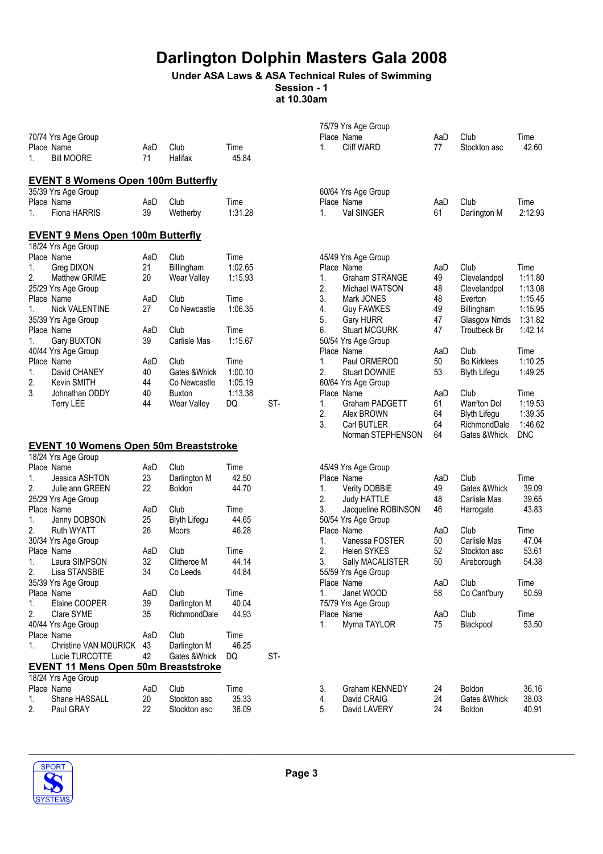## Under ASA Laws & ASA Technical Rules of Swimming

Session - 1 at 10.30am

| 70/74 Yrs Age Group<br>Place Name<br><b>Bill MOORE</b><br>1.                                                                                                                                                                                                                                                                                                                                                                                                                    | AaD<br>71                                                                                   | Club<br>Halifax                                                                                                                                                                            | Time<br>45.84                                                                                                               |     | 1.                                                                         | 75/79 Yrs Age Group<br>Place Name<br><b>Cliff WARD</b>                                                                                                                                                                                                                                                                                            | AaD<br>77                                                                                 | Club<br>Stockton asc                                                                                                                                                                                                        | Time<br>42.60                                                                                                                                               |
|---------------------------------------------------------------------------------------------------------------------------------------------------------------------------------------------------------------------------------------------------------------------------------------------------------------------------------------------------------------------------------------------------------------------------------------------------------------------------------|---------------------------------------------------------------------------------------------|--------------------------------------------------------------------------------------------------------------------------------------------------------------------------------------------|-----------------------------------------------------------------------------------------------------------------------------|-----|----------------------------------------------------------------------------|---------------------------------------------------------------------------------------------------------------------------------------------------------------------------------------------------------------------------------------------------------------------------------------------------------------------------------------------------|-------------------------------------------------------------------------------------------|-----------------------------------------------------------------------------------------------------------------------------------------------------------------------------------------------------------------------------|-------------------------------------------------------------------------------------------------------------------------------------------------------------|
| <b>EVENT 8 Womens Open 100m Butterfly</b>                                                                                                                                                                                                                                                                                                                                                                                                                                       |                                                                                             |                                                                                                                                                                                            |                                                                                                                             |     |                                                                            |                                                                                                                                                                                                                                                                                                                                                   |                                                                                           |                                                                                                                                                                                                                             |                                                                                                                                                             |
| 35/39 Yrs Age Group<br>Place Name<br>1.<br><b>Fiona HARRIS</b>                                                                                                                                                                                                                                                                                                                                                                                                                  | AaD<br>39                                                                                   | Club<br>Wetherby                                                                                                                                                                           | Time<br>1:31.28                                                                                                             |     | 1.                                                                         | 60/64 Yrs Age Group<br>Place Name<br>Val SINGER                                                                                                                                                                                                                                                                                                   | AaD<br>61                                                                                 | Club<br>Darlington M                                                                                                                                                                                                        | Time<br>2:12.93                                                                                                                                             |
| <b>EVENT 9 Mens Open 100m Butterfly</b>                                                                                                                                                                                                                                                                                                                                                                                                                                         |                                                                                             |                                                                                                                                                                                            |                                                                                                                             |     |                                                                            |                                                                                                                                                                                                                                                                                                                                                   |                                                                                           |                                                                                                                                                                                                                             |                                                                                                                                                             |
| 18/24 Yrs Age Group<br>Place Name<br>1.<br>Greg DIXON<br>2.<br>Matthew GRIME<br>25/29 Yrs Age Group<br>Place Name<br><b>Nick VALENTINE</b><br>1.<br>35/39 Yrs Age Group<br>Place Name<br>Gary BUXTON<br>1.<br>40/44 Yrs Age Group<br>Place Name<br>1.<br>David CHANEY<br>2.<br>Kevin SMITH<br>3.<br>Johnathan ODDY<br><b>Terry LEE</b><br><b>EVENT 10 Womens Open 50m Breaststroke</b>                                                                                          | AaD<br>21<br>20<br>AaD<br>27<br>AaD<br>39<br>AaD<br>40<br>44<br>40<br>44                    | Club<br>Billingham<br>Wear Valley<br>Club<br>Co Newcastle<br>Club<br>Carlisle Mas<br>Club<br>Gates & Whick<br>Co Newcastle<br><b>Buxton</b><br>Wear Valley                                 | Time<br>1:02.65<br>1:15.93<br>Time<br>1:06.35<br>Time<br>1:15.67<br>Time<br>1:00.10<br>1:05.19<br>1:13.38<br>DQ             | ST- | 1.<br>2.<br>3.<br>4.<br>5.<br>6.<br>1.<br>2.<br>$\mathbf{1}$ .<br>2.<br>3. | 45/49 Yrs Age Group<br>Place Name<br>Graham STRANGE<br>Michael WATSON<br>Mark JONES<br><b>Guy FAWKES</b><br><b>Gary HURR</b><br><b>Stuart MCGURK</b><br>50/54 Yrs Age Group<br>Place Name<br>Paul ORMEROD<br><b>Stuart DOWNIE</b><br>60/64 Yrs Age Group<br>Place Name<br><b>Graham PADGETT</b><br>Alex BROWN<br>Carl BUTLER<br>Norman STEPHENSON | AaD<br>49<br>48<br>48<br>49<br>47<br>47<br>AaD<br>50<br>53<br>AaD<br>61<br>64<br>64<br>64 | Club<br>Clevelandpol<br>Clevelandpol<br>Everton<br>Billingham<br>Glasgow Nmds<br>Troutbeck Br<br>Club<br><b>Bo Kirklees</b><br><b>Blyth Lifegu</b><br>Club<br>Warr'ton Dol<br>Blyth Lifegu<br>RichmondDale<br>Gates & Whick | Time<br>1:11.80<br>1:13.08<br>1:15.45<br>1:15.95<br>1:31.82<br>1:42.14<br>Time<br>1:10.25<br>1:49.25<br>Time<br>1:19.53<br>1:39.35<br>1:46.62<br><b>DNC</b> |
| 18/24 Yrs Age Group<br>Place Name<br>1.<br>Jessica ASHTON<br>2.<br>Julie ann GREEN<br>25/29 Yrs Age Group<br>Place Name<br>1.<br>Jenny DOBSON<br>2.<br><b>Ruth WYATT</b><br>30/34 Yrs Age Group<br>Place Name<br>Laura SIMPSON<br>1.<br>2.<br>Lisa STANSBIE<br>35/39 Yrs Age Group<br>Place Name<br>Elaine COOPER<br>1.<br>Clare SYME<br>2.<br>40/44 Yrs Age Group<br>Place Name<br>Christine VAN MOURICK<br>1.<br>Lucie TURCOTTE<br><b>EVENT 11 Mens Open 50m Breaststroke</b> | AaD<br>23<br>22<br>AaD<br>25<br>26<br>AaD<br>32<br>34<br>AaD<br>39<br>35<br>AaD<br>43<br>42 | Club<br>Darlington M<br>Boldon<br>Club<br><b>Blyth Lifegu</b><br>Moors<br>Club<br>Clitheroe M<br>Co Leeds<br>Club<br>Darlington M<br>RichmondDale<br>Club<br>Darlington M<br>Gates & Whick | Time<br>42.50<br>44.70<br>Time<br>44.65<br>46.28<br>Time<br>44.14<br>44.84<br>Time<br>40.04<br>44.93<br>Time<br>46.25<br>DQ | ST- | 1.<br>2.<br>3.<br>1.<br>2.<br>3.<br>1.<br>1.                               | 45/49 Yrs Age Group<br>Place Name<br><b>Verity DOBBIE</b><br><b>Judy HATTLE</b><br>Jacqueline ROBINSON<br>50/54 Yrs Age Group<br>Place Name<br>Vanessa FOSTER<br><b>Helen SYKES</b><br>Sally MACALISTER<br>55/59 Yrs Age Group<br>Place Name<br>Janet WOOD<br>75/79 Yrs Age Group<br>Place Name<br>Myrna TAYLOR                                   | AaD<br>49<br>48<br>46<br>AaD<br>50<br>52<br>50<br>AaD<br>58<br>AaD<br>75                  | Club<br>Gates & Whick<br>Carlisle Mas<br>Harrogate<br>Club<br>Carlisle Mas<br>Stockton asc<br>Aireborough<br>Club<br>Co Cant'bury<br>Club<br>Blackpool                                                                      | Time<br>39.09<br>39.65<br>43.83<br>Time<br>47.04<br>53.61<br>54.38<br>Time<br>50.59<br>Time<br>53.50                                                        |
| 18/24 Yrs Age Group<br>Place Name<br>Shane HASSALL<br>1.<br>2.<br>Paul GRAY                                                                                                                                                                                                                                                                                                                                                                                                     | AaD<br>20<br>22                                                                             | Club<br>Stockton asc<br>Stockton asc                                                                                                                                                       | Time<br>35.33<br>36.09                                                                                                      |     | 3.<br>4.<br>5.                                                             | Graham KENNEDY<br>David CRAIG<br>David LAVERY                                                                                                                                                                                                                                                                                                     | 24<br>24<br>24                                                                            | Boldon<br>Gates & Whick<br>Boldon                                                                                                                                                                                           | 36.16<br>38.03<br>40.91                                                                                                                                     |

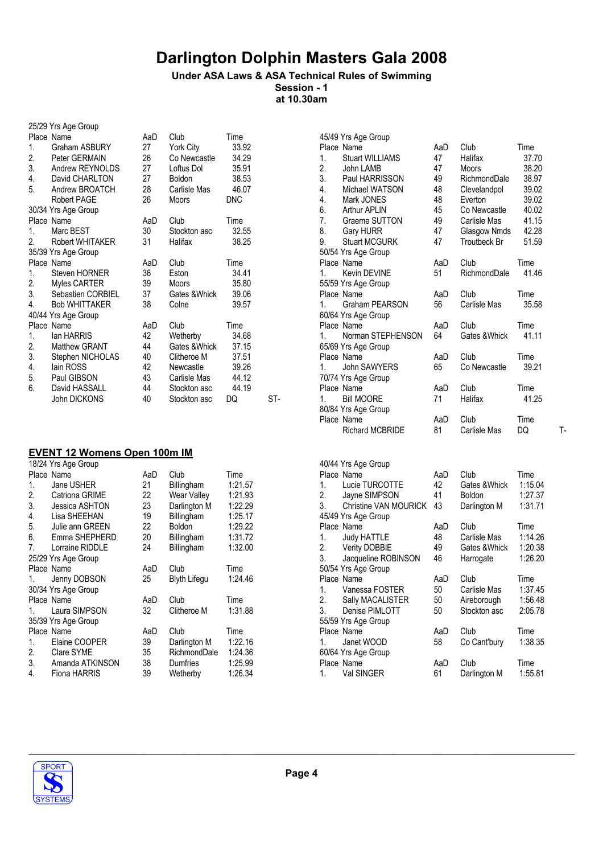#### Under ASA Laws & ASA Technical Rules of Swimming Session - 1

at 10.30am

|         | 25/29 Yrs Age Group  |     |               |            |     |
|---------|----------------------|-----|---------------|------------|-----|
|         | Place Name           | AaD | Club          | Time       |     |
| 1.      | Graham ASBURY        | 27  | York City     | 33.92      |     |
| 2.      | Peter GERMAIN        | 26  | Co Newcastle  | 34.29      |     |
| 3.      | Andrew REYNOLDS      | 27  | Loftus Dol    | 35.91      |     |
| 4.      | David CHARLTON       | 27  | Boldon        | 38.53      |     |
| 5.      | Andrew BROATCH       | 28  | Carlisle Mas  | 46.07      |     |
|         | Robert PAGE          | 26  | Moors         | <b>DNC</b> |     |
|         | 30/34 Yrs Age Group  |     |               |            |     |
|         | Place Name           | AaD | Club          | Time       |     |
| $1_{-}$ | Marc BEST            | 30  | Stockton asc  | 32.55      |     |
| 2.      | Robert WHITAKER      | 31  | Halifax       | 38.25      |     |
|         | 35/39 Yrs Age Group  |     |               |            |     |
|         | Place Name           | AaD | Club          | Time       |     |
| 1.      | Steven HORNER        | 36  | Eston         | 34.41      |     |
| 2.      | Myles CARTER         | 39  | Moors         | 35.80      |     |
|         | 3. Sebastien CORBIEL | 37  | Gates & Whick | 39.06      |     |
| 4.      | <b>Bob WHITTAKER</b> | 38  | Colne         | 39.57      |     |
|         | 40/44 Yrs Age Group  |     |               |            |     |
|         | Place Name           | AaD | Club          | Time       |     |
| 1.      | lan HARRIS           | 42  | Wetherby      | 34.68      |     |
| 2.      | Matthew GRANT        | 44  | Gates &Whick  | 37.15      |     |
| 3.      | Stephen NICHOLAS     | 40  | Clitheroe M   | 37.51      |     |
| 4.      | lain ROSS            | 42  | Newcastle     | 39.26      |     |
| 5.      | Paul GIBSON          | 43  | Carlisle Mas  | 44.12      |     |
| 6.      | David HASSALL        | 44  | Stockton asc  | 44.19      |     |
|         | John DICKONS         | 40  | Stockton asc  | DQ         | ST- |

#### EVENT 12 Womens Open 100m IM

|    | 18/24 Yrs Age Group |     |                     |         |  |  |  |
|----|---------------------|-----|---------------------|---------|--|--|--|
|    | Place Name          | AaD | Club                | Time    |  |  |  |
| 1. | Jane USHER          | 21  | Billingham          | 1:21.57 |  |  |  |
| 2. | Catriona GRIME      | 22  | Wear Valley         | 1:21.93 |  |  |  |
| 3. | Jessica ASHTON      | 23  | Darlington M        | 1:22.29 |  |  |  |
| 4. | Lisa SHEEHAN        | 19  | Billingham          | 1:25.17 |  |  |  |
| 5. | Julie ann GREEN     | 22  | <b>Boldon</b>       | 1:29.22 |  |  |  |
| 6. | Emma SHEPHERD       | 20  | Billingham          | 1:31.72 |  |  |  |
| 7. | Lorraine RIDDLE     | 24  | Billingham          | 1:32.00 |  |  |  |
|    | 25/29 Yrs Age Group |     |                     |         |  |  |  |
|    | Place Name          | AaD | Club                | Time    |  |  |  |
| 1. | Jenny DOBSON        | 25  | <b>Blyth Lifegu</b> | 1:24.46 |  |  |  |
|    | 30/34 Yrs Age Group |     |                     |         |  |  |  |
|    | Place Name          | AaD | Club                | Time    |  |  |  |
| 1. | Laura SIMPSON       | 32  | Clitheroe M         | 1:31.88 |  |  |  |
|    | 35/39 Yrs Age Group |     |                     |         |  |  |  |
|    | Place Name          | AaD | Club                | Time    |  |  |  |
| 1. | Elaine COOPER       | 39  | Darlington M        | 1:22.16 |  |  |  |
| 2. | Clare SYME          | 35  | RichmondDale        | 1:24.36 |  |  |  |
| 3. | Amanda ATKINSON     | 38  | <b>Dumfries</b>     | 1:25.99 |  |  |  |
| 4. | Fiona HARRIS        | 39  | Wetherby            | 1:26.34 |  |  |  |
|    |                     |     |                     |         |  |  |  |

| 45/49 Yrs Age Group<br>Place Name<br><b>Stuart WILLIAMS</b><br>1.<br>2.<br>John LAMB<br>3.<br>Paul HARRISSON<br>4.<br>Michael WATSON<br>4.<br>Mark JONES<br>6.<br><b>Arthur APLIN</b><br>7.<br>Graeme SUTTON<br>8.<br>Gary HURR<br>9.<br><b>Stuart MCGURK</b><br>50/54 Yrs Age Group<br>Place Name<br>Kevin DEVINE<br>1.<br>55/59 Yrs Age Group<br>Place Name<br>Graham PEARSON<br>1.<br>60/64 Yrs Age Group<br>Place Name<br>Norman STEPHENSON<br>1.<br>65/69 Yrs Age Group<br>Place Name<br>John SAWYERS<br>1.<br>70/74 Yrs Age Group<br>Place Name | AaD<br>47<br>47<br>49<br>48<br>48<br>45<br>49<br>47<br>47<br>AaD<br>51<br>AaD<br>56<br>AaD<br>64<br>AaD<br>65<br>AaD | Club<br>Halifax<br>Moors<br>RichmondDale<br>Clevelandpol<br>Everton<br>Co Newcastle<br>Carlisle Mas<br>Glasgow Nmds<br>Troutbeck Br<br>Club<br>RichmondDale<br>Club<br>Carlisle Mas<br>Club<br>Gates & Whick<br>Club<br>Co Newcastle<br>Club | Time<br>37.70<br>38.20<br>38.97<br>39.02<br>39.02<br>40.02<br>41.15<br>42.28<br>51.59<br>Time<br>41.46<br>Time<br>35.58<br>Time<br>41.11<br>Time<br>39.21<br>Time |    |
|-------------------------------------------------------------------------------------------------------------------------------------------------------------------------------------------------------------------------------------------------------------------------------------------------------------------------------------------------------------------------------------------------------------------------------------------------------------------------------------------------------------------------------------------------------|----------------------------------------------------------------------------------------------------------------------|----------------------------------------------------------------------------------------------------------------------------------------------------------------------------------------------------------------------------------------------|-------------------------------------------------------------------------------------------------------------------------------------------------------------------|----|
| <b>Bill MOORE</b><br>1.                                                                                                                                                                                                                                                                                                                                                                                                                                                                                                                               | 71                                                                                                                   | Halifax                                                                                                                                                                                                                                      | 41.25                                                                                                                                                             |    |
| 80/84 Yrs Age Group<br>Place Name                                                                                                                                                                                                                                                                                                                                                                                                                                                                                                                     | AaD                                                                                                                  | Club                                                                                                                                                                                                                                         | Time                                                                                                                                                              |    |
| <b>Richard MCBRIDE</b>                                                                                                                                                                                                                                                                                                                                                                                                                                                                                                                                | 81                                                                                                                   | Carlisle Mas                                                                                                                                                                                                                                 | DQ                                                                                                                                                                | т. |
|                                                                                                                                                                                                                                                                                                                                                                                                                                                                                                                                                       |                                                                                                                      |                                                                                                                                                                                                                                              |                                                                                                                                                                   |    |

| 40/44 Yrs Age Group                               |         |
|---------------------------------------------------|---------|
| Place Name<br>Club<br>AaD                         | Time    |
| Lucie TURCOTTE<br>42<br>1.<br>Gates &Whick        | 1:15.04 |
| Jayne SIMPSON<br>2.<br>41<br>Boldon               | 1:27.37 |
| Christine VAN MOURICK<br>3.<br>43<br>Darlington M | 1:31.71 |
| 45/49 Yrs Age Group                               |         |
| Place Name<br>Club<br>AaD                         | Time    |
| <b>Judy HATTLE</b><br>48<br>Carlisle Mas<br>1.    | 1:14.26 |
| 2. Verity DOBBIE<br>49<br>Gates & Whick           | 1:20.38 |
| Jacqueline ROBINSON<br>3.<br>46<br>Harrogate      | 1:26.20 |
| 50/54 Yrs Age Group                               |         |
| Place Name<br>Club<br>AaD                         | Time    |
| Vanessa FOSTER<br>50<br>Carlisle Mas<br>1.        | 1:37.45 |
| 2.<br>Sally MACALISTER<br>50<br>Aireborough       | 1:56.48 |
| Denise PIMLOTT<br>3.<br>Stockton asc<br>50        | 2:05.78 |
| 55/59 Yrs Age Group                               |         |
| Place Name<br>Club<br>AaD                         | Time    |
| 58<br>Janet WOOD<br>Co Cant'bury<br>1.            | 1:38.35 |
| 60/64 Yrs Age Group                               |         |
| Place Name<br>Club<br>AaD                         | Time    |
| Val SINGER<br>61<br>Darlington M<br>1.            | 1:55.81 |

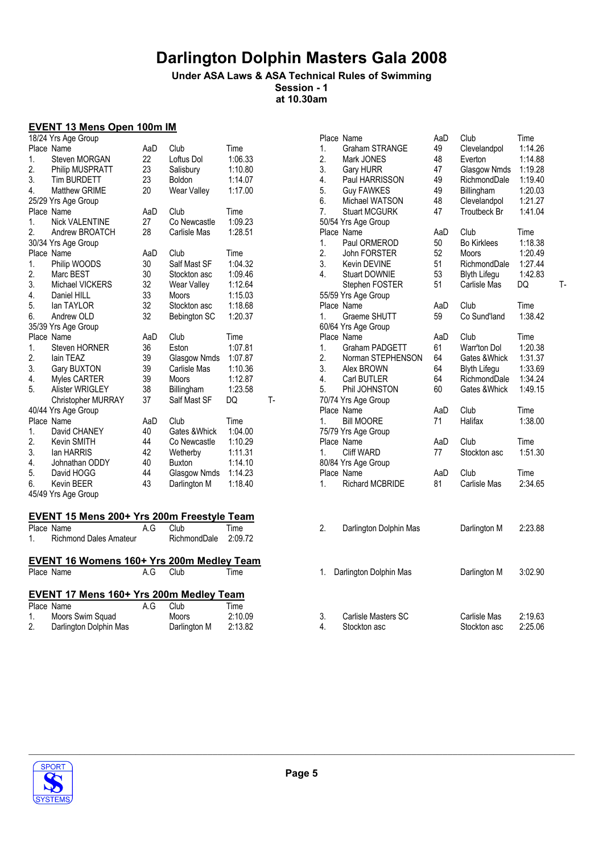### Under ASA Laws & ASA Technical Rules of Swimming Session - 1

at 10.30am

### EVENT 13 Mens Open 100m IM

| Place Name                | AaD                                                                                                                                   | Club          | Time                                   |                                               |  |  |
|---------------------------|---------------------------------------------------------------------------------------------------------------------------------------|---------------|----------------------------------------|-----------------------------------------------|--|--|
| Steven MORGAN             | 22                                                                                                                                    | Loftus Dol    | 1:06.33                                |                                               |  |  |
|                           | 23                                                                                                                                    |               |                                        |                                               |  |  |
| <b>Tim BURDETT</b>        | 23                                                                                                                                    | <b>Boldon</b> | 1:14.07                                |                                               |  |  |
| <b>Matthew GRIME</b>      | 20                                                                                                                                    |               | 1:17.00                                |                                               |  |  |
|                           |                                                                                                                                       |               |                                        |                                               |  |  |
| Place Name                | AaD                                                                                                                                   | Club          | Time                                   |                                               |  |  |
| <b>Nick VALENTINE</b>     | 27                                                                                                                                    | Co Newcastle  | 1:09.23                                |                                               |  |  |
| Andrew BROATCH            | 28                                                                                                                                    | Carlisle Mas  | 1:28.51                                |                                               |  |  |
|                           |                                                                                                                                       |               |                                        |                                               |  |  |
| Place Name                | AaD                                                                                                                                   | Club          | Time                                   |                                               |  |  |
| Philip WOODS              | 30                                                                                                                                    | Salf Mast SF  | 1:04.32                                |                                               |  |  |
| Marc BEST                 | 30                                                                                                                                    | Stockton asc  | 1:09.46                                |                                               |  |  |
| Michael VICKERS           | 32                                                                                                                                    | Wear Valley   | 1:12.64                                |                                               |  |  |
| Daniel HILL               | 33                                                                                                                                    | <b>Moors</b>  | 1:15.03                                |                                               |  |  |
| lan TAYLOR                | 32                                                                                                                                    | Stockton asc  | 1:18.68                                |                                               |  |  |
| Andrew OLD                | 32                                                                                                                                    | Bebington SC  | 1:20.37                                |                                               |  |  |
| 35/39 Yrs Age Group       |                                                                                                                                       |               |                                        |                                               |  |  |
| Place Name                | AaD                                                                                                                                   | Club          | Time                                   |                                               |  |  |
| <b>Steven HORNER</b>      | 36                                                                                                                                    | Eston         | 1:07.81                                |                                               |  |  |
| lain TEAZ                 | 39                                                                                                                                    | Glasgow Nmds  | 1:07.87                                |                                               |  |  |
| Gary BUXTON               | 39                                                                                                                                    | Carlisle Mas  | 1:10.36                                |                                               |  |  |
|                           | 39                                                                                                                                    | <b>Moors</b>  |                                        |                                               |  |  |
|                           | 38                                                                                                                                    |               | 1:23.58                                |                                               |  |  |
| <b>Christopher MURRAY</b> | 37                                                                                                                                    | Salf Mast SF  | DQ                                     | т.                                            |  |  |
| 40/44 Yrs Age Group       |                                                                                                                                       |               |                                        |                                               |  |  |
| Place Name                | AaD                                                                                                                                   | Club          | Time                                   |                                               |  |  |
| David CHANEY              | 40                                                                                                                                    | Gates & Whick |                                        |                                               |  |  |
| Kevin SMITH               | 44                                                                                                                                    | Co Newcastle  | 1:10.29                                |                                               |  |  |
|                           |                                                                                                                                       | Wetherby      | 1:11.31                                |                                               |  |  |
| Johnathan ODDY            | 40                                                                                                                                    | <b>Buxton</b> | 1:14.10                                |                                               |  |  |
| David HOGG                | 44                                                                                                                                    |               | 1:14.23                                |                                               |  |  |
| Kevin BEER                | 43                                                                                                                                    | Darlington M  | 1:18.40                                |                                               |  |  |
| 45/49 Yrs Age Group       |                                                                                                                                       |               |                                        |                                               |  |  |
|                           | 18/24 Yrs Age Group<br>Philip MUSPRATT<br>25/29 Yrs Age Group<br>30/34 Yrs Age Group<br>Myles CARTER<br>Alister WRIGLEY<br>lan HARRIS | 42            | Salisbury<br>Wear Valley<br>Billingham | 1:10.80<br>1:12.87<br>1:04.00<br>Glasgow Nmds |  |  |

## **EVENT 15 Mens 200+ Yrs 200m Freestyle Team**

|                                         | Place Name                                | A G      | Club                 | Time |  |  |  |
|-----------------------------------------|-------------------------------------------|----------|----------------------|------|--|--|--|
|                                         | 1. Richmond Dales Amateur                 |          | RichmondDale 2:09.72 |      |  |  |  |
|                                         |                                           |          |                      |      |  |  |  |
|                                         | EVENT 16 Womens 160+ Yrs 200m Medley Team |          |                      |      |  |  |  |
|                                         | Place Name                                | A.G Club |                      | Time |  |  |  |
|                                         |                                           |          |                      |      |  |  |  |
| EVENT 17 Mens 160+ Yrs 200m Medley Team |                                           |          |                      |      |  |  |  |

|    | Place Name             | A.G | Club         | Time    |
|----|------------------------|-----|--------------|---------|
|    | Moors Swim Squad       |     | Moors        | 2:10.09 |
| 2. | Darlington Dolphin Mas |     | Darlington M | 2:13.82 |

|    | 18/24 Yrs Age Group                        |     |               |         |       |                | Place Name             | AaD | Club                | Time    |    |
|----|--------------------------------------------|-----|---------------|---------|-------|----------------|------------------------|-----|---------------------|---------|----|
|    | Place Name                                 | AaD | Club          | Time    |       | 1.             | Graham STRANGE         | 49  | Clevelandpol        | 1:14.26 |    |
| 1. | Steven MORGAN                              | 22  | Loftus Dol    | 1:06.33 |       | 2.             | Mark JONES             | 48  | Everton             | 1:14.88 |    |
| 2. | Philip MUSPRATT                            | 23  | Salisbury     | 1:10.80 |       | 3.             | <b>Gary HURR</b>       | 47  | Glasgow Nmds        | 1:19.28 |    |
| 3. | <b>Tim BURDETT</b>                         | 23  | Boldon        | 1:14.07 |       | 4.             | Paul HARRISSON         | 49  | RichmondDale        | 1:19.40 |    |
| 4. | Matthew GRIME                              | 20  | Wear Valley   | 1:17.00 |       | 5.             | <b>Guy FAWKES</b>      | 49  | Billingham          | 1:20.03 |    |
|    | 25/29 Yrs Age Group                        |     |               |         |       | 6.             | Michael WATSON         | 48  | Clevelandpol        | 1:21.27 |    |
|    | Place Name                                 | AaD | Club          | Time    |       | 7.             | <b>Stuart MCGURK</b>   | 47  | Troutbeck Br        | 1:41.04 |    |
| 1. | <b>Nick VALENTINE</b>                      | 27  | Co Newcastle  | 1:09.23 |       |                | 50/54 Yrs Age Group    |     |                     |         |    |
| 2. | Andrew BROATCH                             | 28  | Carlisle Mas  | 1:28.51 |       |                | Place Name             | AaD | Club                | Time    |    |
|    | 30/34 Yrs Age Group                        |     |               |         |       | $\mathbf{1}$ . | Paul ORMEROD           | 50  | <b>Bo Kirklees</b>  | 1:18.38 |    |
|    | Place Name                                 | AaD | Club          | Time    |       | 2.             | John FORSTER           | 52  | Moors               | 1:20.49 |    |
| 1. | Philip WOODS                               | 30  | Salf Mast SF  | 1:04.32 |       | 3.             | Kevin DEVINE           | 51  | RichmondDale        | 1:27.44 |    |
| 2. | Marc BEST                                  | 30  | Stockton asc  | 1:09.46 |       | 4.             | <b>Stuart DOWNIE</b>   | 53  | <b>Blyth Lifegu</b> | 1:42.83 |    |
| 3. | Michael VICKERS                            | 32  | Wear Valley   | 1:12.64 |       |                | Stephen FOSTER         | 51  | Carlisle Mas        | DQ      | Ţ. |
| 4. | Daniel HILL                                | 33  | <b>Moors</b>  | 1:15.03 |       |                | 55/59 Yrs Age Group    |     |                     |         |    |
| 5. | lan TAYLOR                                 | 32  | Stockton asc  | 1:18.68 |       |                | Place Name             | AaD | Club                | Time    |    |
| 6. | Andrew OLD                                 | 32  | Bebington SC  | 1:20.37 |       | 1.             | Graeme SHUTT           | 59  | Co Sund'land        | 1:38.42 |    |
|    | 35/39 Yrs Age Group                        |     |               |         |       |                | 60/64 Yrs Age Group    |     |                     |         |    |
|    | Place Name                                 | AaD | Club          | Time    |       |                | Place Name             | AaD | Club                | Time    |    |
| 1. | Steven HORNER                              | 36  | Eston         | 1:07.81 |       | $\mathbf{1}$ . | Graham PADGETT         | 61  | Warr'ton Dol        | 1:20.38 |    |
| 2. | lain TEAZ                                  | 39  | Glasgow Nmds  | 1:07.87 |       | 2.             | Norman STEPHENSON      | 64  | Gates & Whick       | 1:31.37 |    |
| 3. | Gary BUXTON                                | 39  | Carlisle Mas  | 1:10.36 |       | 3.             | Alex BROWN             | 64  | <b>Blyth Lifegu</b> | 1:33.69 |    |
| 4. | Myles CARTER                               | 39  | <b>Moors</b>  | 1:12.87 |       | 4.             | Carl BUTLER            | 64  | RichmondDale        | 1:34.24 |    |
| 5. | <b>Alister WRIGLEY</b>                     | 38  | Billingham    | 1:23.58 |       | 5.             | Phil JOHNSTON          | 60  | Gates & Whick       | 1:49.15 |    |
|    | Christopher MURRAY                         | 37  | Salf Mast SF  | DQ      | $T -$ |                | 70/74 Yrs Age Group    |     |                     |         |    |
|    | 40/44 Yrs Age Group                        |     |               |         |       |                | Place Name             | AaD | Club                | Time    |    |
|    | Place Name                                 | AaD | Club          | Time    |       | 1.             | <b>Bill MOORE</b>      | 71  | Halifax             | 1:38.00 |    |
| 1. | David CHANEY                               | 40  | Gates & Whick | 1:04.00 |       |                | 75/79 Yrs Age Group    |     |                     |         |    |
| 2. | Kevin SMITH                                | 44  | Co Newcastle  | 1:10.29 |       |                | Place Name             | AaD | Club                | Time    |    |
| 3. | lan HARRIS                                 | 42  | Wetherby      | 1:11.31 |       | 1.             | <b>Cliff WARD</b>      | 77  | Stockton asc        | 1:51.30 |    |
| 4. | Johnathan ODDY                             | 40  | <b>Buxton</b> | 1:14.10 |       |                | 80/84 Yrs Age Group    |     |                     |         |    |
| 5. | David HOGG                                 | 44  | Glasgow Nmds  | 1:14.23 |       |                | Place Name             | AaD | Club                | Time    |    |
| 6. | Kevin BEER                                 | 43  | Darlington M  | 1:18.40 |       | 1.             | <b>Richard MCBRIDE</b> | 81  | Carlisle Mas        | 2:34.65 |    |
|    | 45/49 Yrs Age Group                        |     |               |         |       |                |                        |     |                     |         |    |
|    |                                            |     |               |         |       |                |                        |     |                     |         |    |
|    | EVENT 15 Mens 200+ Yrs 200m Freestyle Team |     |               |         |       |                |                        |     |                     |         |    |
|    | Place Name                                 | A.G | Club          | Time    |       | 2.             | Darlington Dolphin Mas |     | Darlington M        | 2:23.88 |    |
| 1. | <b>Richmond Dales Amateur</b>              |     | RichmondDale  | 2:09.72 |       |                |                        |     |                     |         |    |
|    |                                            |     |               |         |       |                |                        |     |                     |         |    |
|    | EVENT 16 Womens 160+ Yrs 200m Medley Team  |     |               |         |       |                |                        |     |                     |         |    |
|    | Place Name                                 | A.G | Club          | Time    |       | 1.             | Darlington Dolphin Mas |     | Darlington M        | 3:02.90 |    |
|    |                                            |     |               |         |       |                |                        |     |                     |         |    |
|    | EVENT 17 Mens 160+ Yrs 200m Medley Team    |     |               |         |       |                |                        |     |                     |         |    |
|    | Place Name                                 | A.G | Club          | Time    |       |                |                        |     |                     |         |    |
| 1. | Moors Swim Squad                           |     | <b>Moors</b>  | 2:10.09 |       | 3.             | Carlisle Masters SC    |     | Carlisle Mas        | 2:19.63 |    |
| 2. | Darlington Dolphin Mas                     |     | Darlington M  | 2:13.82 |       | 4.             | Stockton asc           |     | Stockton asc        | 2:25.06 |    |

Stockton asc



 $\_$  ,  $\_$  ,  $\_$  ,  $\_$  ,  $\_$  ,  $\_$  ,  $\_$  ,  $\_$  ,  $\_$  ,  $\_$  ,  $\_$  ,  $\_$  ,  $\_$  ,  $\_$  ,  $\_$  ,  $\_$  ,  $\_$  ,  $\_$  ,  $\_$  ,  $\_$  ,  $\_$  ,  $\_$  ,  $\_$  ,  $\_$  ,  $\_$  ,  $\_$  ,  $\_$  ,  $\_$  ,  $\_$  ,  $\_$  ,  $\_$  ,  $\_$  ,  $\_$  ,  $\_$  ,  $\_$  ,  $\_$  ,  $\_$  ,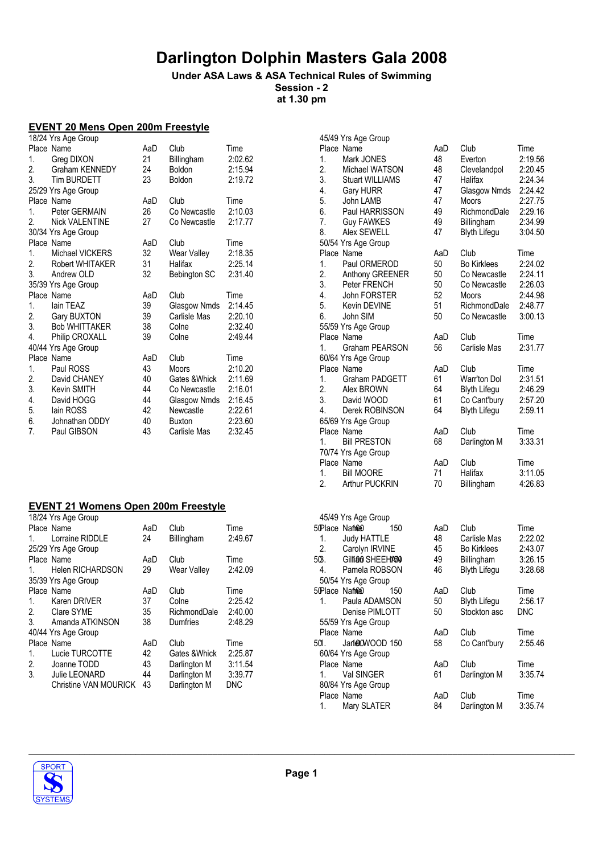## Under ASA Laws & ASA Technical Rules of Swimming

Session - 2 at 1.30 pm

### EVENT 20 Mens Open 200m Freestyle

|    | 18/24 Yrs Age Group   |     |                     |         |
|----|-----------------------|-----|---------------------|---------|
|    | Place Name            | AaD | Club                | Time    |
| 1. | Greg DIXON            | 21  | Billingham          | 2:02.62 |
| 2. | Graham KENNEDY        | 24  | <b>Boldon</b>       | 2:15.94 |
| 3. | <b>Tim BURDETT</b>    | 23  | <b>Boldon</b>       | 2:19.72 |
|    | 25/29 Yrs Age Group   |     |                     |         |
|    | Place Name            | AaD | Club                | Time    |
| 1. | Peter GERMAIN         | 26  | Co Newcastle        | 2:10.03 |
| 2. | <b>Nick VALENTINE</b> | 27  | Co Newcastle        | 2:17.77 |
|    | 30/34 Yrs Age Group   |     |                     |         |
|    | Place Name            | AaD | Club                | Time    |
| 1. | Michael VICKERS       | 32  | Wear Valley         | 2:18.35 |
| 2. | Robert WHITAKER       | 31  | Halifax             | 2:25.14 |
| 3. | Andrew OLD            | 32  | <b>Bebington SC</b> | 2:31.40 |
|    | 35/39 Yrs Age Group   |     |                     |         |
|    |                       |     |                     |         |
|    | Place Name            | AaD | Club                | Time    |
| 1. | lain TEAZ             | 39  | Glasgow Nmds        | 2:14.45 |
| 2. | Gary BUXTON           | 39  | Carlisle Mas        | 2:20.10 |
| 3. | <b>Bob WHITTAKER</b>  | 38  | Colne               | 2:32.40 |
| 4. | Philip CROXALL        | 39  | Colne               | 2:49.44 |
|    | 40/44 Yrs Age Group   |     |                     |         |
|    | Place Name            | AaD | Club                | Time    |
| 1. | Paul ROSS             | 43  | <b>Moors</b>        | 2:10.20 |
| 2. | David CHANEY          | 40  | Gates &Whick        | 2:11.69 |
| 3. | Kevin SMITH           | 44  | Co Newcastle        | 2:16.01 |
| 4. | David HOGG            | 44  | Glasgow Nmds        | 2:16.45 |
| 5. | lain ROSS             | 42  | Newcastle           | 2:22.61 |
| 6. | Johnathan ODDY        | 40  | <b>Buxton</b>       | 2:23.60 |
| 7. | Paul GIBSON           | 43  | Carlisle Mas        | 2:32.45 |

### EVENT 21 Womens Open 200m Freestyle

|             | 18/24 Yrs Age Group     |     |                   |            |                 | 45/49 Yrs Age Group |     |
|-------------|-------------------------|-----|-------------------|------------|-----------------|---------------------|-----|
|             | Place Name              | AaD | Club              | Time       | 50Place Namuel  |                     | 150 |
| 1.          | Lorraine RIDDLE         | 24  | <b>Billingham</b> | 2:49.67    |                 | <b>Judy HATTLE</b>  |     |
|             | 25/29 Yrs Age Group     |     |                   |            | 2.              | Carolyn IRVINE      |     |
|             | Place Name              | AaD | Club              | Time       | 50B.            | Gillian SHEEH1450   |     |
| 1.          | <b>Helen RICHARDSON</b> | 29  | Wear Valley       | 2:42.09    | 4.              | Pamela ROBSON       |     |
|             | 35/39 Yrs Age Group     |     |                   |            |                 | 50/54 Yrs Age Group |     |
|             | Place Name              | AaD | Club              | Time       | 50 Place Namuel |                     | 150 |
| $1_{\cdot}$ | Karen DRIVER            | 37  | Colne             | 2:25.42    | 1.              | Paula ADAMSON       |     |
| 2.          | Clare SYME              | 35  | RichmondDale      | 2:40.00    |                 | Denise PIMLOTT      |     |
| 3.          | Amanda ATKINSON         | 38  | Dumfries          | 2:48.29    |                 | 55/59 Yrs Age Group |     |
|             | 40/44 Yrs Age Group     |     |                   |            |                 | Place Name          |     |
|             | Place Name              | AaD | Club              | Time       | 501.            | Janet MOOD 150      |     |
| 1.          | Lucie TURCOTTE          | 42  | Gates & Whick     | 2:25.87    |                 | 60/64 Yrs Age Group |     |
| 2.          | Joanne TODD             | 43  | Darlington M      | 3:11.54    |                 | Place Name          |     |
| 3.          | Julie LEONARD           | 44  | Darlington M      | 3:39.77    |                 | Val SINGER          |     |
|             | Christine VAN MOURICK   | 43  | Darlington M      | <b>DNC</b> |                 | 80/84 Yrs Age Group |     |
|             |                         |     |                   |            |                 | Place Name          |     |

|     | 45/49 Yrs Age Group       |     |                     |            |
|-----|---------------------------|-----|---------------------|------------|
|     | Place Name                | AaD | Club                | Time       |
| 1.  | Mark JONES                | 48  | Everton             | 2:19.56    |
| 2.  | Michael WATSON            | 48  | Clevelandpol        | 2:20.45    |
| 3.  | <b>Stuart WILLIAMS</b>    | 47  | Halifax             | 2:24.34    |
| 4.  | Gary HURR                 | 47  | Glasgow Nmds        | 2:24.42    |
| 5.  | John LAMB                 | 47  | Moors               | 2:27.75    |
| 6.  | Paul HARRISSON            | 49  | RichmondDale        | 2:29.16    |
| 7.  | <b>Guy FAWKES</b>         | 49  | Billingham          | 2:34.99    |
| 8.  | Alex SEWELL               | 47  | <b>Blyth Lifegu</b> | 3:04.50    |
|     | 50/54 Yrs Age Group       |     |                     |            |
|     | Place Name                | AaD | Club                | Time       |
| 1.  | Paul ORMEROD              | 50  | <b>Bo Kirklees</b>  | 2:24.02    |
| 2.  | Anthony GREENER           | 50  | Co Newcastle        | 2:24.11    |
| 3.  | Peter FRENCH              | 50  | Co Newcastle        | 2:26.03    |
|     | John FORSTER              |     |                     |            |
| 4.  |                           | 52  | Moors               | 2:44.98    |
| 5.  | Kevin DEVINE              | 51  | RichmondDale        | 2:48.77    |
| 6.  | John SIM                  | 50  | Co Newcastle        | 3:00.13    |
|     | 55/59 Yrs Age Group       |     |                     |            |
|     | Place Name                | AaD | Club                | Time       |
| 1.  | Graham PEARSON            | 56  | Carlisle Mas        | 2:31.77    |
|     | 60/64 Yrs Age Group       |     |                     |            |
|     | Place Name                | AaD | Club                | Time       |
| 1.  | Graham PADGETT            | 61  | <b>Warr'ton Dol</b> | 2:31.51    |
| 2.  | Alex BROWN                | 64  | <b>Blyth Lifegu</b> | 2:46.29    |
| 3.  | David WOOD                | 61  | Co Cant'bury        | 2:57.20    |
| 4.  | Derek ROBINSON            | 64  | <b>Blyth Lifegu</b> | 2:59.11    |
|     | 65/69 Yrs Age Group       |     |                     |            |
|     | Place Name                | AaD | Club                | Time       |
| 1.  | <b>Bill PRESTON</b>       | 68  | Darlington M        | 3:33.31    |
|     | 70/74 Yrs Age Group       |     |                     |            |
|     | Place Name                | AaD | Club                | Time       |
| 1.  | <b>Bill MOORE</b>         | 71  | Halifax             | 3:11.05    |
| 2.  | <b>Arthur PUCKRIN</b>     | 70  | Billingham          | 4:26.83    |
|     |                           |     |                     |            |
|     |                           |     |                     |            |
|     | 45/49 Yrs Age Group       |     |                     |            |
|     | <b>Place Named</b><br>150 | AaD | Club                | Time       |
| 1.  | <b>Judy HATTLE</b>        | 48  | Carlisle Mas        | 2:22.02    |
| 2.  | Carolyn IRVINE            | 45  | Bo Kirklees         | 2:43.07    |
| ŵΒ. | Gillian SHEEH1450         | 49  | Billingham          | 3:26.15    |
| 4.  | Pamela ROBSON             | 46  | <b>Blyth Lifegu</b> | 3:28.68    |
|     | 50/54 Yrs Age Group       |     |                     |            |
|     | <b>Place Named</b><br>150 | AaD | Club                | I ime      |
| 1.  | Paula ADAMSON             | 50  | <b>Blyth Lifegu</b> | 2:56.17    |
|     | Denise PIMLOTT            | 50  | Stockton asc        | <b>DNC</b> |
|     | 55/59 Yrs Age Group       |     |                     |            |
|     | Place Name                | AaD | Club                | Time       |
| ЮÍ. | JanetowOOD 150            | 58  | Co Cant'bury        | 2:55.46    |
|     | 60/64 Yrs Age Group       |     |                     |            |
|     | Place Name                | AaD | Club                | Time       |
| 1.  | Val SINGER                | 61  | Darlington M        | 3:35.74    |
|     |                           |     |                     |            |

AaD Club Time<br>84 Darlington M 3:35.74



1. Val SINGER 80/84 Yrs Age Group

1. Mary SLATER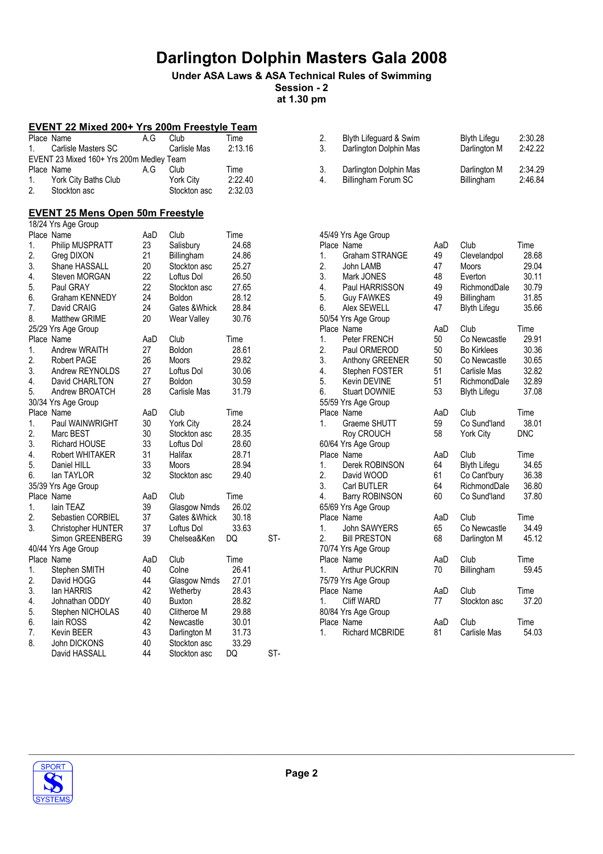## Under ASA Laws & ASA Technical Rules of Swimming

Session - 2 at 1.30 pm

### EVENT 22 Mixed 200+ Yrs 200m Freestyle Team

|           | Place Name                               | A G | Club         | Time    |
|-----------|------------------------------------------|-----|--------------|---------|
| $1 \quad$ | Carlisle Masters SC                      |     | Carlisle Mas | 2:13.16 |
|           | EVENT 23 Mixed 160+ Yrs 200m Medley Team |     |              |         |
|           | Place Name                               | A G | Club         | Time    |
|           |                                          |     |              |         |
| 1.        | York City Baths Club                     |     | York City    | 2:22.40 |

### EVENT 25 Mens Open 50m Freestyle

|    | 18/24 Yrs Age Group    |     |                  |       |     |
|----|------------------------|-----|------------------|-------|-----|
|    | Place Name             | AaD | Club             | Time  |     |
| 1. | Philip MUSPRATT        | 23  | Salisbury        | 24.68 |     |
| 2. | Greg DIXON             | 21  | Billingham       | 24.86 |     |
| 3. | Shane HASSALL          | 20  | Stockton asc     | 25.27 |     |
| 4. | Steven MORGAN          | 22  | Loftus Dol       | 26.50 |     |
| 5. | Paul GRAY              | 22  | Stockton asc     | 27.65 |     |
| 6. | Graham KENNEDY         | 24  | <b>Boldon</b>    | 28.12 |     |
| 7. | David CRAIG            | 24  | Gates & Whick    | 28.84 |     |
| 8. | <b>Matthew GRIME</b>   | 20  | Wear Valley      | 30.76 |     |
|    | 25/29 Yrs Age Group    |     |                  |       |     |
|    | Place Name             | AaD | Club             | Time  |     |
| 1. | Andrew WRAITH          | 27  | <b>Boldon</b>    | 28.61 |     |
| 2. | <b>Robert PAGE</b>     | 26  | Moors            | 29.82 |     |
| 3. | Andrew REYNOLDS        | 27  | Loftus Dol       | 30.06 |     |
| 4. | David CHARLTON         | 27  | <b>Boldon</b>    | 30.59 |     |
| 5. | Andrew BROATCH         | 28  | Carlisle Mas     | 31.79 |     |
|    | 30/34 Yrs Age Group    |     |                  |       |     |
|    | Place Name             | AaD | Club             | Time  |     |
| 1. | Paul WAINWRIGHT        | 30  | <b>York City</b> | 28.24 |     |
| 2. | Marc BEST              | 30  | Stockton asc     | 28.35 |     |
| 3. | <b>Richard HOUSE</b>   | 33  | Loftus Dol       | 28.60 |     |
| 4. | <b>Robert WHITAKER</b> | 31  | Halifax          | 28.71 |     |
| 5. | Daniel HILL            | 33  | <b>Moors</b>     | 28.94 |     |
| 6. | lan TAYLOR             | 32  | Stockton asc     | 29.40 |     |
|    | 35/39 Yrs Age Group    |     |                  |       |     |
|    | Place Name             | AaD | Club             | Time  |     |
| 1. | lain TEAZ              | 39  | Glasgow Nmds     | 26.02 |     |
| 2. | Sebastien CORBIEL      | 37  | Gates & Whick    | 30.18 |     |
| 3. | Christopher HUNTER     | 37  | Loftus Dol       | 33.63 |     |
|    | Simon GREENBERG        | 39  | Chelsea&Ken      | DQ    | ST- |
|    | 40/44 Yrs Age Group    |     |                  |       |     |
|    | Place Name             | AaD | Club             | Time  |     |
| 1. | Stephen SMITH          | 40  | Colne            | 26.41 |     |
| 2. | David HOGG             | 44  | Glasgow Nmds     | 27.01 |     |
| 3. | lan HARRIS             | 42  | Wetherby         | 28.43 |     |
| 4. | Johnathan ODDY         | 40  | <b>Buxton</b>    | 28.82 |     |
| 5. | Stephen NICHOLAS       | 40  | Clitheroe M      | 29.88 |     |
| 6. | lain ROSS              | 42  | Newcastle        | 30.01 |     |
| 7. | <b>Kevin BEER</b>      | 43  | Darlington M     | 31.73 |     |
| 8. | John DICKONS           | 40  | Stockton asc     | 33.29 |     |
|    | David HASSALL          | 44  | Stockton asc     | DQ    | ST- |
|    |                        |     |                  |       |     |

| 2. | Blyth Lifeguard & Swim | <b>Blyth Lifegu</b> | 2:30.28 |
|----|------------------------|---------------------|---------|
| 3. | Darlington Dolphin Mas | Darlington M        | 2.42.22 |
| 3. | Darlington Dolphin Mas | Darlington M        | 2:34.29 |
| 4. | Billingham Forum SC    | Billingham          | 2:46.84 |

|                | 45/49 Yrs Age Group    |     |                     |            |
|----------------|------------------------|-----|---------------------|------------|
|                | Place Name             | AaD | Club                | Time       |
| 1.             | <b>Graham STRANGE</b>  | 49  | Clevelandpol        | 28.68      |
| 2.             | John LAMB              | 47  | <b>Moors</b>        | 29.04      |
| 3.             | Mark JONES             | 48  | Everton             | 30.11      |
| 4.             | Paul HARRISSON         | 49  | RichmondDale        | 30.79      |
| 5.             | <b>Guy FAWKES</b>      | 49  | Billingham          | 31.85      |
| 6.             | Alex SEWELL            | 47  | <b>Blyth Lifegu</b> | 35.66      |
|                | 50/54 Yrs Age Group    |     |                     |            |
|                | Place Name             | AaD | Club                | Time       |
| 1.             | Peter FRENCH           | 50  | Co Newcastle        | 29.91      |
| 2.             | Paul ORMEROD           | 50  | <b>Bo Kirklees</b>  | 30.36      |
| 3.             | Anthony GREENER        | 50  | Co Newcastle        | 30.65      |
| 4.             | Stephen FOSTER         | 51  | Carlisle Mas        | 32.82      |
| 5.             | <b>Kevin DEVINE</b>    | 51  | RichmondDale        | 32.89      |
| 6.             | <b>Stuart DOWNIE</b>   | 53  | <b>Blyth Lifegu</b> | 37.08      |
|                | 55/59 Yrs Age Group    |     |                     |            |
|                | Place Name             | AaD | Club                | Time       |
| 1.             | Graeme SHUTT           | 59  | Co Sund'land        | 38.01      |
|                | Roy CROUCH             | 58  | York City           | <b>DNC</b> |
|                | 60/64 Yrs Age Group    |     |                     |            |
|                | Place Name             | AaD | Club                | Time       |
| 1.             | Derek ROBINSON         | 64  | <b>Blyth Lifegu</b> | 34.65      |
| 2.             | David WOOD             | 61  | Co Cant'bury        | 36.38      |
| 3.             | Carl BUTLER            | 64  | RichmondDale        | 36.80      |
| 4.             | <b>Barry ROBINSON</b>  | 60  | Co Sund'land        | 37.80      |
|                | 65/69 Yrs Age Group    |     |                     |            |
|                | Place Name             | AaD | Club                | Time       |
| 1 <sup>1</sup> | John SAWYERS           | 65  | Co Newcastle        | 34.49      |
| 2.             | <b>Bill PRESTON</b>    | 68  | Darlington M        | 45.12      |
|                | 70/74 Yrs Age Group    |     |                     |            |
|                | Place Name             | AaD | Club                | Time       |
| 1.             | <b>Arthur PUCKRIN</b>  | 70  | Billingham          | 59.45      |
|                | 75/79 Yrs Age Group    |     |                     |            |
|                | Place Name             | AaD | Club                | Time       |
| 1.             | <b>Cliff WARD</b>      | 77  | Stockton asc        | 37.20      |
|                | 80/84 Yrs Age Group    |     |                     |            |
|                | Place Name             | AaD | Club                | Time       |
| 1.             | <b>Richard MCBRIDE</b> | 81  | Carlisle Mas        | 54.03      |

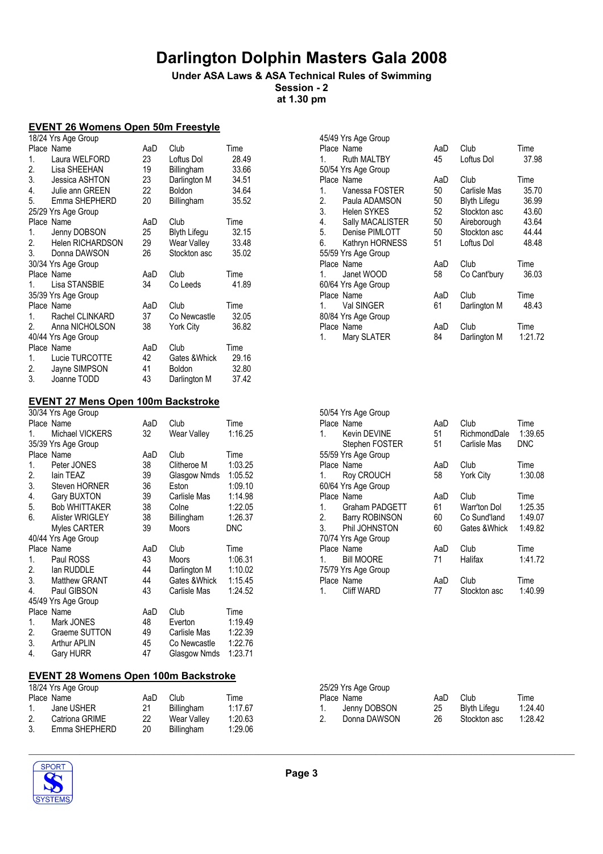## Under ASA Laws & ASA Technical Rules of Swimming

Session - 2 at 1.30 pm

### EVENT 26 Womens Open 50m Freestyle

|                | 18/24 Yrs Age Group     |     |               |       |
|----------------|-------------------------|-----|---------------|-------|
|                | Place Name              | AaD | Club          | Time  |
| 1.             | Laura WELFORD           | 23  | Loftus Dol    | 28.49 |
| 2.             | Lisa SHEEHAN            | 19  | Billingham    | 33.66 |
| 3.             | Jessica ASHTON          | 23  | Darlington M  | 34.51 |
| 4.             | Julie ann GREEN         | 22  | Boldon        | 34.64 |
| 5.             | Emma SHEPHERD           | 20  | Billingham    | 35.52 |
|                | 25/29 Yrs Age Group     |     |               |       |
|                | Place Name              | AaD | Club          | Time  |
| 1.             | Jenny DOBSON            | 25  | Blyth Lifegu  | 32.15 |
| 2.             | <b>Helen RICHARDSON</b> | 29  | Wear Valley   | 33.48 |
| 3.             | Donna DAWSON            | 26  | Stockton asc  | 35.02 |
|                | 30/34 Yrs Age Group     |     |               |       |
|                | Place Name              | AaD | Club          | Time  |
| 1.             | Lisa STANSBIE           | 34  | Co Leeds      | 41.89 |
|                | 35/39 Yrs Age Group     |     |               |       |
|                | Place Name              | AaD | Club          | Time  |
| 1 <sup>1</sup> | Rachel CLINKARD         | 37  | Co Newcastle  | 32.05 |
| 2.             | Anna NICHOLSON          | 38  | York City     | 36.82 |
|                | 40/44 Yrs Age Group     |     |               |       |
|                | Place Name              | AaD | Club          | Time  |
| 1.             | Lucie TURCOTTE          | 42  | Gates & Whick | 29.16 |
| 2.             | Jayne SIMPSON           | 41  | <b>Boldon</b> | 32.80 |
| 3.             | Joanne TODD             | 43  | Darlington M  | 37.42 |

|    | 45/49 Yrs Age Group |     |                     |         |
|----|---------------------|-----|---------------------|---------|
|    | Place Name          | AaD | Club                | Time    |
| 1. | <b>Ruth MALTBY</b>  | 45  | Loftus Dol          | 37.98   |
|    | 50/54 Yrs Age Group |     |                     |         |
|    | Place Name          | AaD | Club                | Time    |
| 1. | Vanessa FOSTER      | 50  | Carlisle Mas        | 35.70   |
| 2. | Paula ADAMSON       | 50  | <b>Blyth Lifegu</b> | 36.99   |
| 3. | <b>Helen SYKES</b>  | 52  | Stockton asc        | 43.60   |
| 4. | Sally MACALISTER    | 50  | Aireborough         | 43.64   |
| 5. | Denise PIMLOTT      | 50  | Stockton asc        | 44.44   |
| 6. | Kathryn HORNESS     | 51  | Loftus Dol          | 48.48   |
|    | 55/59 Yrs Age Group |     |                     |         |
|    | Place Name          | AaD | Club                | Time    |
| 1. | Janet WOOD          | 58  | Co Cant'bury        | 36.03   |
|    | 60/64 Yrs Age Group |     |                     |         |
|    | Place Name          | AaD | Club                | Time    |
| 1. | Val SINGER          | 61  | Darlington M        | 48.43   |
|    | 80/84 Yrs Age Group |     |                     |         |
|    | Place Name          | AaD | Club                | Time    |
| 1. | Mary SLATER         | 84  | Darlington M        | 1:21.72 |

|                | 50/54 Yrs Age Group   |     |                  |         |
|----------------|-----------------------|-----|------------------|---------|
|                | Place Name            | AaD | Club             | Time    |
| 1 <sup>1</sup> | Kevin DEVINE          | 51  | RichmondDale     | 1:39.65 |
|                | Stephen FOSTER        | 51  | Carlisle Mas     | DNC     |
|                | 55/59 Yrs Age Group   |     |                  |         |
|                | Place Name            | AaD | Club             | Time    |
|                | <b>Roy CROUCH</b>     | 58  | <b>York City</b> | 1:30.08 |
|                | 60/64 Yrs Age Group   |     |                  |         |
|                | Place Name            | AaD | Club             | Time    |
| $1_{-}$        | Graham PADGETT        | 61  | Warr'ton Dol     | 1:25.35 |
| 2.             | <b>Barry ROBINSON</b> | 60  | Co Sund'Iand     | 1:49.07 |
| 3.             | Phil JOHNSTON         | 60  | Gates & Whick    | 1:49.82 |
|                | 70/74 Yrs Age Group   |     |                  |         |
|                | Place Name            | AaD | Club             | Time    |
|                | <b>Bill MOORE</b>     | 71  | Halifax          | 1:41.72 |
|                | 75/79 Yrs Age Group   |     |                  |         |
|                | Place Name            | AaD | Club             | Time    |
|                | <b>Cliff WARD</b>     | 77  | Stockton asc     | 1:40.99 |
|                |                       |     |                  |         |

#### EVENT 27 Mens Open 100m Backstroke

| 30/34 Yrs Age Group    |                                                                                                                           |              |                                              |
|------------------------|---------------------------------------------------------------------------------------------------------------------------|--------------|----------------------------------------------|
|                        | AaD                                                                                                                       | Club         | Time                                         |
| Michael VICKERS        | 32                                                                                                                        | Wear Valley  | 1:16.25                                      |
|                        |                                                                                                                           |              |                                              |
|                        | AaD                                                                                                                       | Club         | Time                                         |
| Peter JONES            | 38                                                                                                                        | Clitheroe M  | 1:03.25                                      |
| lain TEAZ              | 39                                                                                                                        |              | 1:05.52                                      |
| Steven HORNER          | 36                                                                                                                        | Eston        | 1:09.10                                      |
| <b>Gary BUXTON</b>     | 39                                                                                                                        | Carlisle Mas | 1:14.98                                      |
| <b>Bob WHITTAKER</b>   | 38                                                                                                                        | Colne        | 1:22.05                                      |
| <b>Alister WRIGLEY</b> | 38                                                                                                                        | Billingham   | 1:26.37                                      |
| Myles CARTER           | 39                                                                                                                        | Moors        | <b>DNC</b>                                   |
|                        |                                                                                                                           |              |                                              |
|                        | AaD                                                                                                                       | Club         | Time                                         |
| Paul ROSS              | 43                                                                                                                        | Moors        | 1:06.31                                      |
| lan RUDDLE             | 44                                                                                                                        | Darlington M | 1:10.02                                      |
| <b>Matthew GRANT</b>   | 44                                                                                                                        |              | 1:15.45                                      |
| Paul GIBSON            | 43                                                                                                                        | Carlisle Mas | 1:24.52                                      |
|                        |                                                                                                                           |              |                                              |
|                        | AaD                                                                                                                       | Club         | Time                                         |
| Mark JONES             | 48                                                                                                                        | Everton      | 1:19.49                                      |
| Graeme SUTTON          | 49                                                                                                                        | Carlisle Mas | 1:22.39                                      |
| Arthur APLIN           | 45                                                                                                                        | Co Newcastle | 1:22.76                                      |
| Gary HURR              | 47                                                                                                                        |              | 1:23.71                                      |
|                        | Place Name<br>35/39 Yrs Age Group<br>Place Name<br>40/44 Yrs Age Group<br>Place Name<br>45/49 Yrs Age Group<br>Place Name |              | Glasgow Nmds<br>Gates &Whick<br>Glasgow Nmds |

#### EVENT 28 Womens Open 100m Backstroke

| 18/24 Yrs Age Group |                |     |                    |         |  |
|---------------------|----------------|-----|--------------------|---------|--|
|                     | Place Name     | AaD | Club               | Time    |  |
| $1_{-}$             | Jane USHER     | 21  | Billingham         | 1:17.67 |  |
| 2.                  | Catriona GRIME | 22  | <b>Wear Valley</b> | 1:20.63 |  |
| 3.                  | Emma SHEPHERD  | 20  | <b>Billingham</b>  | 1:29.06 |  |

|    | 25/29 Yrs Age Group |     |                     |         |
|----|---------------------|-----|---------------------|---------|
|    | Place Name          | AaD | Club                | Time    |
|    | Jenny DOBSON        | 25  | <b>Blyth Lifegu</b> | 1:24.40 |
| 2. | Donna DAWSON        | 26  | Stockton asc        | 1:28.42 |
|    |                     |     |                     |         |

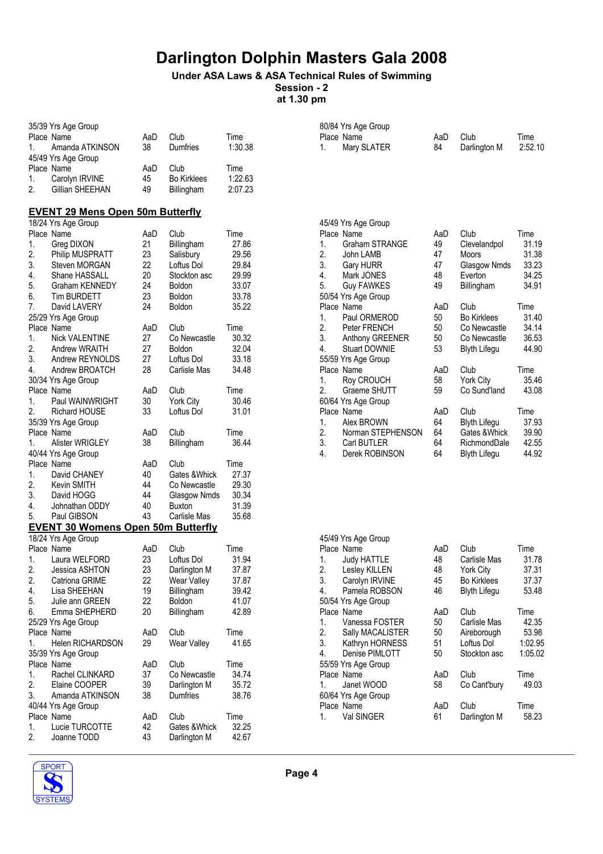## Under ASA Laws & ASA Technical Rules of Swimming

Session - 2 at 1.30 pm

80/84 Yrs Age Group

| 35/39 Yrs Age Group                          |     |                    |         |
|----------------------------------------------|-----|--------------------|---------|
| Place Name                                   | AaD | Club               | Time    |
| Amanda ATKINSON<br>1.                        | 38  | <b>Dumfries</b>    | 1:30.38 |
| 45/49 Yrs Age Group                          |     |                    |         |
| Place Name                                   | AaD | Club               | Time    |
| 1.<br>Carolyn IRVINE                         | 45  | <b>Bo Kirklees</b> | 1:22.63 |
| Gillian SHEEHAN<br>2.                        | 49  | Billingham         | 2:07.23 |
|                                              |     |                    |         |
| <b>EVENT 29 Mens Open 50m Butterfly</b>      |     |                    |         |
| 18/24 Yrs Age Group                          |     |                    |         |
| Place Name                                   | AaD | Club               | Time    |
| 1.<br>Greg DIXON                             | 21  | Billingham         | 27.86   |
| 2.<br>Philip MUSPRATT                        | 23  | Salisbury          | 29.56   |
| 3.<br>Steven MORGAN                          | 22  | Loftus Dol         | 29.84   |
| 4.<br>Shane HASSALL                          | 20  | Stockton asc       | 29.99   |
| 5.<br>Graham KENNEDY                         | 24  | <b>Boldon</b>      | 33.07   |
| 6.<br><b>Tim BURDETT</b>                     | 23  | <b>Boldon</b>      | 33.78   |
| 7.<br>David LAVERY                           | 24  | <b>Boldon</b>      | 35.22   |
| 25/29 Yrs Age Group                          |     |                    |         |
| Place Name                                   | AaD | Club               | Time    |
| 1.<br><b>Nick VALENTINE</b>                  | 27  | Co Newcastle       | 30.32   |
| 2.<br>Andrew WRAITH                          | 27  | <b>Boldon</b>      | 32.04   |
| 3.<br>Andrew REYNOLDS                        | 27  | Loftus Dol         | 33.18   |
| 4.<br>Andrew BROATCH                         | 28  | Carlisle Mas       | 34.48   |
| 30/34 Yrs Age Group                          |     |                    |         |
| Place Name                                   | AaD | Club               | Time    |
| Paul WAINWRIGHT<br>1.                        | 30  | York City          | 30.46   |
| 2.<br><b>Richard HOUSE</b>                   | 33  | Loftus Dol         | 31.01   |
| 35/39 Yrs Age Group                          |     |                    |         |
| Place Name                                   | AaD | Club               | Time    |
| Alister WRIGLEY<br>1.<br>40/44 Yrs Age Group | 38  | Billingham         | 36.44   |
| Place Name                                   | AaD | Club               | Time    |
| David CHANEY<br>1.                           | 40  | Gates & Whick      | 27.37   |
| 2.<br>Kevin SMITH                            | 44  | Co Newcastle       | 29.30   |
| 3.<br>David HOGG                             | 44  | Glasgow Nmds       | 30.34   |
| 4.<br>Johnathan ODDY                         | 40  | <b>Buxton</b>      | 31.39   |
| 5.<br>Paul GIBSON                            | 43  | Carlisle Mas       | 35.68   |
| <b>EVENT 30 Womens Open 50m Butterfly</b>    |     |                    |         |
| 18/24 Yrs Age Group                          |     |                    |         |
| Place Name                                   | AaD | Club               | Time    |
| Laura WELFORD<br>1.                          | 23  | Loftus Dol         | 31.94   |
| 2.<br>Jessica ASHTON                         | 23  | Darlington M       | 37.87   |
| 2.<br>Catriona GRIME                         | 22  | Wear Valley        | 37.87   |
| 4.<br>Lisa SHEEHAN                           | 19  | Billingham         | 39.42   |
| 5.<br>Julie ann GREEN                        | 22  | <b>Boldon</b>      | 41.07   |
| 6.<br>Emma SHEPHERD                          | 20  | Billingham         | 42.89   |
| 25/29 Yrs Age Group                          |     |                    |         |
| Place Name                                   | AaD | Club               | Time    |
| Helen RICHARDSON<br>1.                       | 29  | Wear Valley        | 41.65   |
| 35/39 Yrs Age Group                          |     |                    |         |
| Place Name                                   | AaD | Club               | Time    |
| 1.<br>Rachel CLINKARD                        | 37  | Co Newcastle       | 34.74   |
| 2.<br>Elaine COOPER                          | 39  | Darlington M       | 35.72   |
| 3.<br>Amanda ATKINSON                        | 38  | Dumfries           | 38.76   |
| 40/44 Yrs Age Group                          |     |                    |         |
| Place Name                                   | AaD | Club               | Time    |
| Lucie TURCOTTE<br>1.                         | 42  | Gates & Whick      | 32.25   |
| 2.<br>Joanne TODD                            | 43  | Darlington M       | 42.67   |

|    | 45/49 Yrs Age Group   |     |                    |       |
|----|-----------------------|-----|--------------------|-------|
|    | Place Name            | AaD | Club               | Time  |
| 1. | <b>Graham STRANGE</b> | 49  | Clevelandpol       | 31.19 |
| 2. | John LAMB             | 47  | Moors              | 31.38 |
| 3. | Gary HURR             | 47  | Glasgow Nmds       | 33.23 |
| 4. | Mark JONES            | 48  | Everton            | 34.25 |
| 5. | <b>Guy FAWKES</b>     | 49  | Billingham         | 34.91 |
|    | 50/54 Yrs Age Group   |     |                    |       |
|    | Place Name            | AaD | Club               | Time  |
| 1. | Paul ORMEROD          | 50  | <b>Bo Kirklees</b> | 31.40 |
| 2. | Peter FRENCH          | 50  | Co Newcastle       | 34.14 |
| 3. | Anthony GREENER       | 50  | Co Newcastle       | 36.53 |
| 4. | <b>Stuart DOWNIE</b>  | 53  | Blyth Lifegu       | 44.90 |
|    | 55/59 Yrs Age Group   |     |                    |       |
|    | Place Name            | AaD | Club               | Time  |
| 1. | Roy CROUCH            | 58  | York City          | 35.46 |
| 2. | Graeme SHUTT          | 59  | Co Sund'land       | 43.08 |
|    | 60/64 Yrs Age Group   |     |                    |       |
|    | Place Name            | AaD | Club               | Time  |
| 1. | Alex BROWN            | 64  | Blyth Lifegu       | 37.93 |
| 2. | Norman STEPHENSON     | 64  | Gates & Whick      | 39.90 |
| 3. | Carl BUTLER           | 64  | RichmondDale       | 42.55 |
| 4. | Derek ROBINSON        | 64  | Blyth Lifegu       | 44.92 |

Place Name **AaD** Club Time 1. Mary SLATER 84 Darlington M 2:52.10

|    | 45/49 Yrs Age Group |     |                     |         |
|----|---------------------|-----|---------------------|---------|
|    | Place Name          | AaD | Club                | Time    |
| 1. | <b>Judy HATTLE</b>  | 48  | Carlisle Mas        | 31.78   |
| 2. | Lesley KILLEN       | 48  | York City           | 37.31   |
| 3. | Carolyn IRVINE      | 45  | <b>Bo Kirklees</b>  | 37.37   |
| 4. | Pamela ROBSON       | 46  | <b>Blyth Lifegu</b> | 53.48   |
|    | 50/54 Yrs Age Group |     |                     |         |
|    | Place Name          | AaD | Club                | Time    |
| 1. | Vanessa FOSTER      | 50  | Carlisle Mas        | 42.35   |
| 2. | Sally MACALISTER    | 50  | Aireborough         | 53.98   |
| 3. | Kathryn HORNESS     | 51  | Loftus Dol          | 1:02.95 |
| 4. | Denise PIMLOTT      | 50  | Stockton asc        | 1:05.02 |
|    | 55/59 Yrs Age Group |     |                     |         |
|    | Place Name          | AaD | Club                | Time    |
| 1. | Janet WOOD          | 58  | Co Cant'bury        | 49.03   |
|    | 60/64 Yrs Age Group |     |                     |         |
|    | Place Name          | AaD | Club                | Time    |
| 1. | Val SINGER          | 61  | Darlington M        | 58.23   |
|    |                     |     |                     |         |